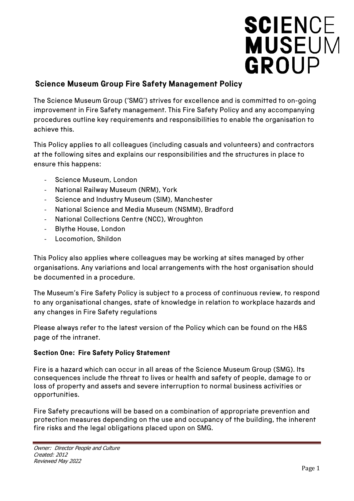# **SCIENCE<br>MUSEUM** GROUP

# **Science Museum Group Fire Safety Management Policy**

The Science Museum Group ('SMG') strives for excellence and is committed to on-going improvement in Fire Safety management. This Fire Safety Policy and any accompanying procedures outline key requirements and responsibilities to enable the organisation to achieve this.

This Policy applies to all colleagues (including casuals and volunteers) and contractors at the following sites and explains our responsibilities and the structures in place to ensure this happens:

- Science Museum, London
- National Railway Museum (NRM), York
- Science and Industry Museum (SIM), Manchester
- National Science and Media Museum (NSMM), Bradford
- National Collections Centre (NCC), Wroughton
- Blythe House, London
- Locomotion, Shildon

This Policy also applies where colleagues may be working at sites managed by other organisations. Any variations and local arrangements with the host organisation should be documented in a procedure.

The Museum's Fire Safety Policy is subject to a process of continuous review, to respond to any organisational changes, state of knowledge in relation to workplace hazards and any changes in Fire Safety regulations

Please always refer to the latest version of the Policy which can be found on the H&S page of the intranet.

### **Section One: Fire Safety Policy Statement**

Fire is a hazard which can occur in all areas of the Science Museum Group (SMG). Its consequences include the threat to lives or health and safety of people, damage to or loss of property and assets and severe interruption to normal business activities or opportunities.

Fire Safety precautions will be based on a combination of appropriate prevention and protection measures depending on the use and occupancy of the building, the inherent fire risks and the legal obligations placed upon on SMG.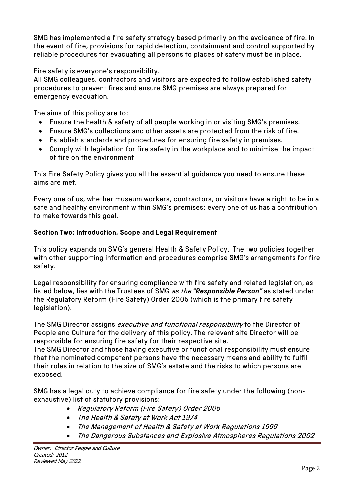SMG has implemented a fire safety strategy based primarily on the avoidance of fire. In the event of fire, provisions for rapid detection, containment and control supported by reliable procedures for evacuating all persons to places of safety must be in place.

Fire safety is everyone's responsibility.

All SMG colleagues, contractors and visitors are expected to follow established safety procedures to prevent fires and ensure SMG premises are always prepared for emergency evacuation.

The aims of this policy are to:

- Ensure the health & safety of all people working in or visiting SMG's premises.
- Ensure SMG's collections and other assets are protected from the risk of fire.
- Establish standards and procedures for ensuring fire safety in premises.
- Comply with legislation for fire safety in the workplace and to minimise the impact of fire on the environment

This Fire Safety Policy gives you all the essential guidance you need to ensure these aims are met.

Every one of us, whether museum workers, contractors, or visitors have a right to be in a safe and healthy environment within SMG's premises; every one of us has a contribution to make towards this goal.

### **Section Two: Introduction, Scope and Legal Requirement**

This policy expands on SMG's general Health & Safety Policy. The two policies together with other supporting information and procedures comprise SMG's arrangements for fire safety.

Legal responsibility for ensuring compliance with fire safety and related legislation, as listed below, lies with the Trustees of SMG as the *"Responsible Person"* as stated under the Regulatory Reform (Fire Safety) Order 2005 (which is the primary fire safety legislation).

The SMG Director assigns executive and functional responsibility to the Director of People and Culture for the delivery of this policy. The relevant site Director will be responsible for ensuring fire safety for their respective site.

The SMG Director and those having executive or functional responsibility must ensure that the nominated competent persons have the necessary means and ability to fulfil their roles in relation to the size of SMG's estate and the risks to which persons are exposed.

SMG has a legal duty to achieve compliance for fire safety under the following (nonexhaustive) list of statutory provisions:

- Regulatory Reform (Fire Safety) Order 2005
- The Health & Safety at Work Act 1974
- The Management of Health & Safety at Work Regulations 1999
- The Dangerous Substances and Explosive Atmospheres Regulations 2002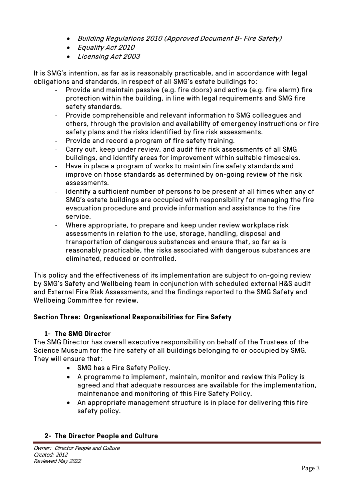- Building Regulations 2010 (Approved Document B- Fire Safety)
- Equality Act 2010
- Licensing Act 2003

It is SMG's intention, as far as is reasonably practicable, and in accordance with legal obligations and standards, in respect of all SMG's estate buildings to:

- Provide and maintain passive (e.g. fire doors) and active (e.g. fire alarm) fire protection within the building, in line with legal requirements and SMG fire safety standards.
- Provide comprehensible and relevant information to SMG colleagues and others, through the provision and availability of emergency instructions or fire safety plans and the risks identified by fire risk assessments.
- Provide and record a program of fire safety training.
- Carry out, keep under review, and audit fire risk assessments of all SMG buildings, and identify areas for improvement within suitable timescales.
- Have in place a program of works to maintain fire safety standards and improve on those standards as determined by on-going review of the risk assessments.
- Identify a sufficient number of persons to be present at all times when any of SMG's estate buildings are occupied with responsibility for managing the fire evacuation procedure and provide information and assistance to the fire service.
- Where appropriate, to prepare and keep under review workplace risk assessments in relation to the use, storage, handling, disposal and transportation of dangerous substances and ensure that, so far as is reasonably practicable, the risks associated with dangerous substances are eliminated, reduced or controlled.

This policy and the effectiveness of its implementation are subject to on-going review by SMG's Safety and Wellbeing team in conjunction with scheduled external H&S audit and External Fire Risk Assessments, and the findings reported to the SMG Safety and Wellbeing Committee for review.

### **Section Three: Organisational Responsibilities for Fire Safety**

### **1- The SMG Director**

The SMG Director has overall executive responsibility on behalf of the Trustees of the Science Museum for the fire safety of all buildings belonging to or occupied by SMG. They will ensure that:

- SMG has a Fire Safety Policy.
- A programme to implement, maintain, monitor and review this Policy is agreed and that adequate resources are available for the implementation, maintenance and monitoring of this Fire Safety Policy.
- An appropriate management structure is in place for delivering this fire safety policy.

### **2- The Director People and Culture**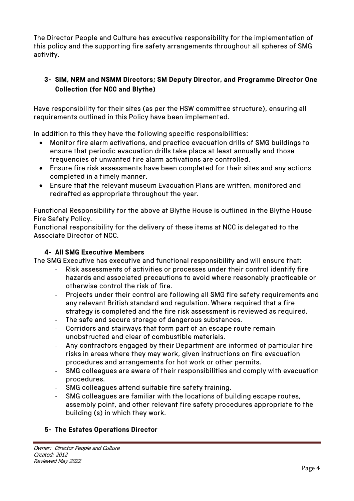The Director People and Culture has executive responsibility for the implementation of this policy and the supporting fire safety arrangements throughout all spheres of SMG activity.

# **3- SIM, NRM and NSMM Directors; SM Deputy Director, and Programme Director One Collection (for NCC and Blythe)**

Have responsibility for their sites (as per the HSW committee structure), ensuring all requirements outlined in this Policy have been implemented.

In addition to this they have the following specific responsibilities:

- Monitor fire alarm activations, and practice evacuation drills of SMG buildings to ensure that periodic evacuation drills take place at least annually and those frequencies of unwanted fire alarm activations are controlled.
- Ensure fire risk assessments have been completed for their sites and any actions completed in a timely manner.
- Ensure that the relevant museum Evacuation Plans are written, monitored and redrafted as appropriate throughout the year.

Functional Responsibility for the above at Blythe House is outlined in the Blythe House Fire Safety Policy.

Functional responsibility for the delivery of these items at NCC is delegated to the Associate Director of NCC.

## **4- All SMG Executive Members**

The SMG Executive has executive and functional responsibility and will ensure that:

- Risk assessments of activities or processes under their control identify fire hazards and associated precautions to avoid where reasonably practicable or otherwise control the risk of fire.
- Projects under their control are following all SMG fire safety requirements and any relevant British standard and regulation. Where required that a fire strategy is completed and the fire risk assessment is reviewed as required.
- The safe and secure storage of dangerous substances.
- Corridors and stairways that form part of an escape route remain unobstructed and clear of combustible materials.
- Any contractors engaged by their Department are informed of particular fire risks in areas where they may work, given instructions on fire evacuation procedures and arrangements for hot work or other permits.
- SMG colleagues are aware of their responsibilities and comply with evacuation procedures.
- SMG colleagues attend suitable fire safety training.
- SMG colleagues are familiar with the locations of building escape routes, assembly point, and other relevant fire safety procedures appropriate to the building (s) in which they work.

# **5- The Estates Operations Director**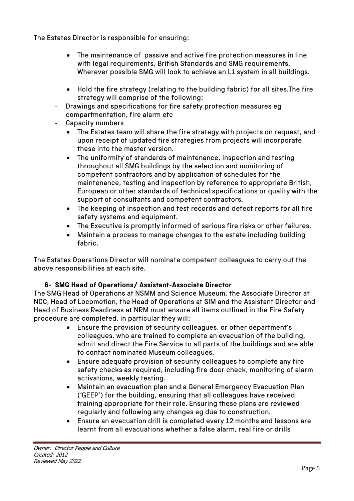The Estates Director is responsible for ensuring:

- The maintenance of passive and active fire protection measures in line with legal requirements, British Standards and SMG requirements. Wherever possible SMG will look to achieve an L1 system in all buildings.
- Hold the fire strategy (relating to the building fabric) for all sites.The fire strategy will comprise of the following:
- Drawings and specifications for fire safety protection measures eg compartmentation, fire alarm etc
- Capacity numbers
	- The Estates team will share the fire strategy with projects on request, and upon receipt of updated fire strategies from projects will incorporate these into the master version.
	- The uniformity of standards of maintenance, inspection and testing throughout all SMG buildings by the selection and monitoring of competent contractors and by application of schedules for the maintenance, testing and inspection by reference to appropriate British, European or other standards of technical specifications or quality with the support of consultants and competent contractors.
	- The keeping of inspection and test records and defect reports for all fire safety systems and equipment.
	- The Executive is promptly informed of serious fire risks or other failures.
	- Maintain a process to manage changes to the estate including building fabric.

The Estates Operations Director will nominate competent colleagues to carry out the above responsibilities at each site.

# **6- SMG Head of Operations/ Assistant-Associate Director**

The SMG Head of Operations at NSMM and Science Museum, the Associate Director at NCC, Head of Locomotion, the Head of Operations at SIM and the Assistant Director and Head of Business Readiness at NRM must ensure all items outlined in the Fire Safety procedure are completed, in particular they will:

- Ensure the provision of security colleagues, or other department's colleagues, who are trained to complete an evacuation of the building, admit and direct the Fire Service to all parts of the buildings and are able to contact nominated Museum colleagues.
- Ensure adequate provision of security colleagues to complete any fire safety checks as required, including fire door check, monitoring of alarm activations, weekly testing.
- Maintain an evacuation plan and a General Emergency Evacuation Plan ('GEEP') for the building, ensuring that all colleagues have received training appropriate for their role. Ensuring these plans are reviewed regularly and following any changes eg due to construction.
- Ensure an evacuation drill is completed every 12 months and lessons are learnt from all evacuations whether a false alarm, real fire or drills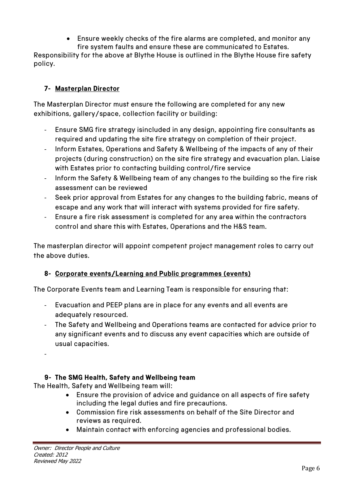• Ensure weekly checks of the fire alarms are completed, and monitor any fire system faults and ensure these are communicated to Estates.

Responsibility for the above at Blythe House is outlined in the Blythe House fire safety policy.

# **7- Masterplan Director**

The Masterplan Director must ensure the following are completed for any new exhibitions, gallery/space, collection facility or building:

- Ensure SMG fire strategy isincluded in any design, appointing fire consultants as required and updating the site fire strategy on completion of their project.
- Inform Estates, Operations and Safety & Wellbeing of the impacts of any of their projects (during construction) on the site fire strategy and evacuation plan. Liaise with Estates prior to contacting building control/fire service
- Inform the Safety & Wellbeing team of any changes to the building so the fire risk assessment can be reviewed
- Seek prior approval from Estates for any changes to the building fabric, means of escape and any work that will interact with systems provided for fire safety.
- Ensure a fire risk assessment is completed for any area within the contractors control and share this with Estates, Operations and the H&S team.

The masterplan director will appoint competent project management roles to carry out the above duties.

# **8- Corporate events/Learning and Public programmes (events)**

The Corporate Events team and Learning Team is responsible for ensuring that:

- Evacuation and PEEP plans are in place for any events and all events are adequately resourced.
- The Safety and Wellbeing and Operations teams are contacted for advice prior to any significant events and to discuss any event capacities which are outside of usual capacities.

-

# **9- The SMG Health, Safety and Wellbeing team**

The Health, Safety and Wellbeing team will:

- Ensure the provision of advice and guidance on all aspects of fire safety including the legal duties and fire precautions.
- Commission fire risk assessments on behalf of the Site Director and reviews as required.
- Maintain contact with enforcing agencies and professional bodies.